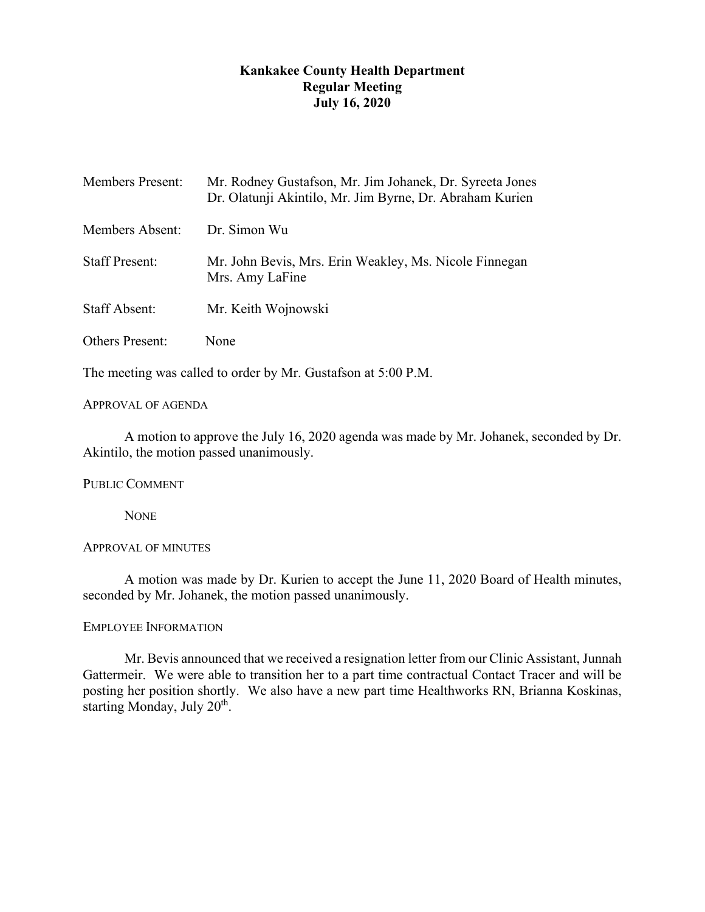# **Kankakee County Health Department Regular Meeting July 16, 2020**

| <b>Members Present:</b> | Mr. Rodney Gustafson, Mr. Jim Johanek, Dr. Syreeta Jones<br>Dr. Olatunji Akintilo, Mr. Jim Byrne, Dr. Abraham Kurien |
|-------------------------|----------------------------------------------------------------------------------------------------------------------|
| Members Absent:         | Dr. Simon Wu                                                                                                         |
| <b>Staff Present:</b>   | Mr. John Bevis, Mrs. Erin Weakley, Ms. Nicole Finnegan<br>Mrs. Amy LaFine                                            |
| <b>Staff Absent:</b>    | Mr. Keith Wojnowski                                                                                                  |
| <b>Others Present:</b>  | None                                                                                                                 |

The meeting was called to order by Mr. Gustafson at 5:00 P.M.

# APPROVAL OF AGENDA

A motion to approve the July 16, 2020 agenda was made by Mr. Johanek, seconded by Dr. Akintilo, the motion passed unanimously.

PUBLIC COMMENT

**NONE** 

### APPROVAL OF MINUTES

A motion was made by Dr. Kurien to accept the June 11, 2020 Board of Health minutes, seconded by Mr. Johanek, the motion passed unanimously.

## EMPLOYEE INFORMATION

Mr. Bevis announced that we received a resignation letter from our Clinic Assistant, Junnah Gattermeir. We were able to transition her to a part time contractual Contact Tracer and will be posting her position shortly. We also have a new part time Healthworks RN, Brianna Koskinas, starting Monday, July 20<sup>th</sup>.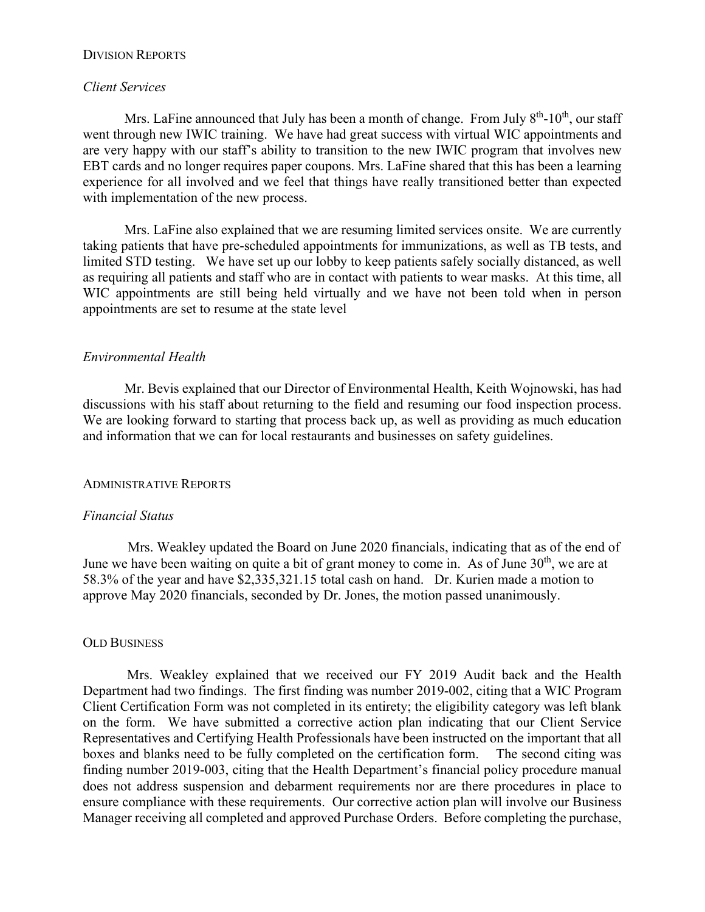#### DIVISION REPORTS

#### *Client Services*

Mrs. LaFine announced that July has been a month of change. From July  $8<sup>th</sup>$ -10<sup>th</sup>, our staff went through new IWIC training. We have had great success with virtual WIC appointments and are very happy with our staff's ability to transition to the new IWIC program that involves new EBT cards and no longer requires paper coupons. Mrs. LaFine shared that this has been a learning experience for all involved and we feel that things have really transitioned better than expected with implementation of the new process.

Mrs. LaFine also explained that we are resuming limited services onsite. We are currently taking patients that have pre-scheduled appointments for immunizations, as well as TB tests, and limited STD testing. We have set up our lobby to keep patients safely socially distanced, as well as requiring all patients and staff who are in contact with patients to wear masks. At this time, all WIC appointments are still being held virtually and we have not been told when in person appointments are set to resume at the state level

# *Environmental Health*

Mr. Bevis explained that our Director of Environmental Health, Keith Wojnowski, has had discussions with his staff about returning to the field and resuming our food inspection process. We are looking forward to starting that process back up, as well as providing as much education and information that we can for local restaurants and businesses on safety guidelines.

### ADMINISTRATIVE REPORTS

### *Financial Status*

Mrs. Weakley updated the Board on June 2020 financials, indicating that as of the end of June we have been waiting on quite a bit of grant money to come in. As of June  $30<sup>th</sup>$ , we are at 58.3% of the year and have \$2,335,321.15 total cash on hand. Dr. Kurien made a motion to approve May 2020 financials, seconded by Dr. Jones, the motion passed unanimously.

#### OLD BUSINESS

Mrs. Weakley explained that we received our FY 2019 Audit back and the Health Department had two findings. The first finding was number 2019-002, citing that a WIC Program Client Certification Form was not completed in its entirety; the eligibility category was left blank on the form. We have submitted a corrective action plan indicating that our Client Service Representatives and Certifying Health Professionals have been instructed on the important that all boxes and blanks need to be fully completed on the certification form. The second citing was finding number 2019-003, citing that the Health Department's financial policy procedure manual does not address suspension and debarment requirements nor are there procedures in place to ensure compliance with these requirements. Our corrective action plan will involve our Business Manager receiving all completed and approved Purchase Orders. Before completing the purchase,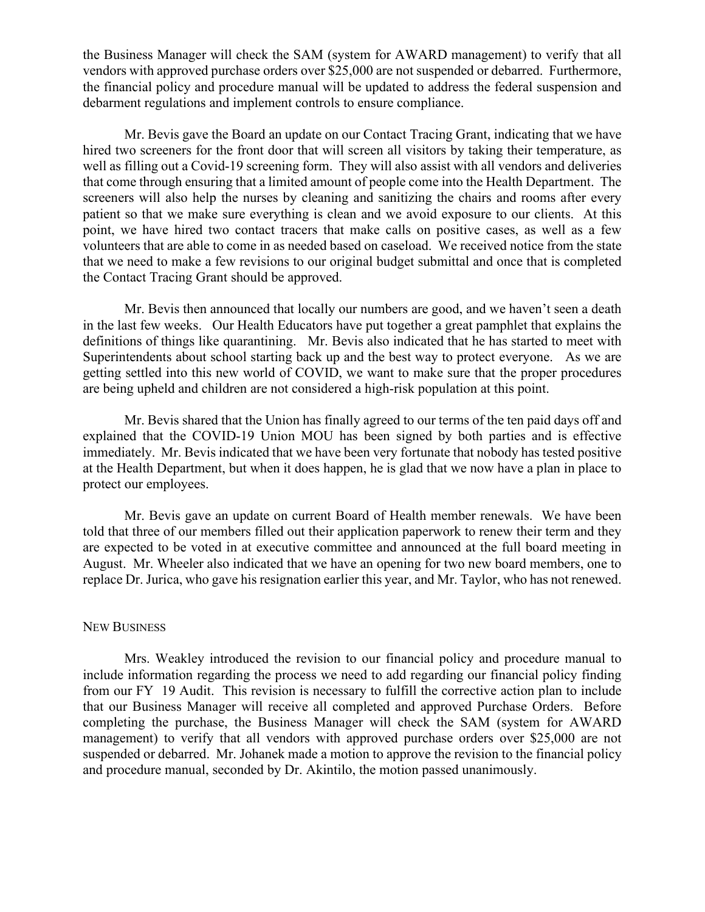the Business Manager will check the SAM (system for AWARD management) to verify that all vendors with approved purchase orders over \$25,000 are not suspended or debarred. Furthermore, the financial policy and procedure manual will be updated to address the federal suspension and debarment regulations and implement controls to ensure compliance.

Mr. Bevis gave the Board an update on our Contact Tracing Grant, indicating that we have hired two screeners for the front door that will screen all visitors by taking their temperature, as well as filling out a Covid-19 screening form. They will also assist with all vendors and deliveries that come through ensuring that a limited amount of people come into the Health Department. The screeners will also help the nurses by cleaning and sanitizing the chairs and rooms after every patient so that we make sure everything is clean and we avoid exposure to our clients. At this point, we have hired two contact tracers that make calls on positive cases, as well as a few volunteers that are able to come in as needed based on caseload. We received notice from the state that we need to make a few revisions to our original budget submittal and once that is completed the Contact Tracing Grant should be approved.

Mr. Bevis then announced that locally our numbers are good, and we haven't seen a death in the last few weeks. Our Health Educators have put together a great pamphlet that explains the definitions of things like quarantining. Mr. Bevis also indicated that he has started to meet with Superintendents about school starting back up and the best way to protect everyone. As we are getting settled into this new world of COVID, we want to make sure that the proper procedures are being upheld and children are not considered a high-risk population at this point.

Mr. Bevis shared that the Union has finally agreed to our terms of the ten paid days off and explained that the COVID-19 Union MOU has been signed by both parties and is effective immediately. Mr. Bevis indicated that we have been very fortunate that nobody has tested positive at the Health Department, but when it does happen, he is glad that we now have a plan in place to protect our employees.

Mr. Bevis gave an update on current Board of Health member renewals. We have been told that three of our members filled out their application paperwork to renew their term and they are expected to be voted in at executive committee and announced at the full board meeting in August. Mr. Wheeler also indicated that we have an opening for two new board members, one to replace Dr. Jurica, who gave his resignation earlier this year, and Mr. Taylor, who has not renewed.

### NEW BUSINESS

Mrs. Weakley introduced the revision to our financial policy and procedure manual to include information regarding the process we need to add regarding our financial policy finding from our FY 19 Audit. This revision is necessary to fulfill the corrective action plan to include that our Business Manager will receive all completed and approved Purchase Orders. Before completing the purchase, the Business Manager will check the SAM (system for AWARD management) to verify that all vendors with approved purchase orders over \$25,000 are not suspended or debarred. Mr. Johanek made a motion to approve the revision to the financial policy and procedure manual, seconded by Dr. Akintilo, the motion passed unanimously.